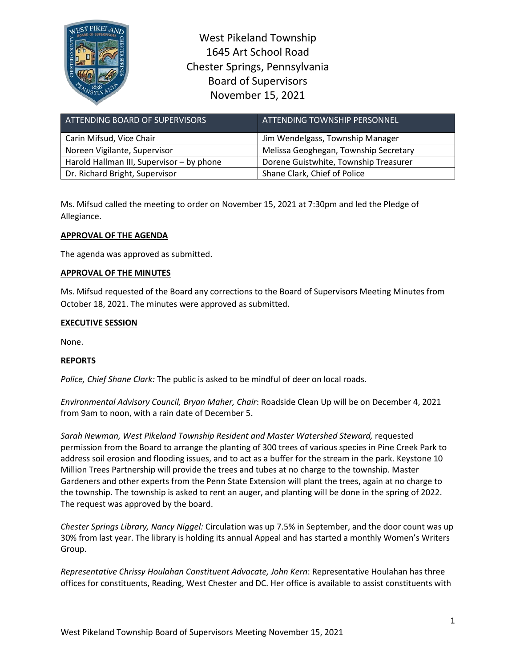

West Pikeland Township 1645 Art School Road Chester Springs, Pennsylvania Board of Supervisors November 15, 2021

| ATTENDING BOARD OF SUPERVISORS            | ATTENDING TOWNSHIP PERSONNEL          |
|-------------------------------------------|---------------------------------------|
| Carin Mifsud, Vice Chair                  | Jim Wendelgass, Township Manager      |
| Noreen Vigilante, Supervisor              | Melissa Geoghegan, Township Secretary |
| Harold Hallman III, Supervisor - by phone | Dorene Guistwhite, Township Treasurer |
| Dr. Richard Bright, Supervisor            | Shane Clark, Chief of Police          |

Ms. Mifsud called the meeting to order on November 15, 2021 at 7:30pm and led the Pledge of Allegiance.

# **APPROVAL OF THE AGENDA**

The agenda was approved as submitted.

## **APPROVAL OF THE MINUTES**

Ms. Mifsud requested of the Board any corrections to the Board of Supervisors Meeting Minutes from October 18, 2021. The minutes were approved as submitted.

## **EXECUTIVE SESSION**

None.

# **REPORTS**

*Police, Chief Shane Clark:* The public is asked to be mindful of deer on local roads.

*Environmental Advisory Council, Bryan Maher, Chair*: Roadside Clean Up will be on December 4, 2021 from 9am to noon, with a rain date of December 5.

*Sarah Newman, West Pikeland Township Resident and Master Watershed Steward,* requested permission from the Board to arrange the planting of 300 trees of various species in Pine Creek Park to address soil erosion and flooding issues, and to act as a buffer for the stream in the park. Keystone 10 Million Trees Partnership will provide the trees and tubes at no charge to the township. Master Gardeners and other experts from the Penn State Extension will plant the trees, again at no charge to the township. The township is asked to rent an auger, and planting will be done in the spring of 2022. The request was approved by the board.

*Chester Springs Library, Nancy Niggel:* Circulation was up 7.5% in September, and the door count was up 30% from last year. The library is holding its annual Appeal and has started a monthly Women's Writers Group.

*Representative Chrissy Houlahan Constituent Advocate, John Kern*: Representative Houlahan has three offices for constituents, Reading, West Chester and DC. Her office is available to assist constituents with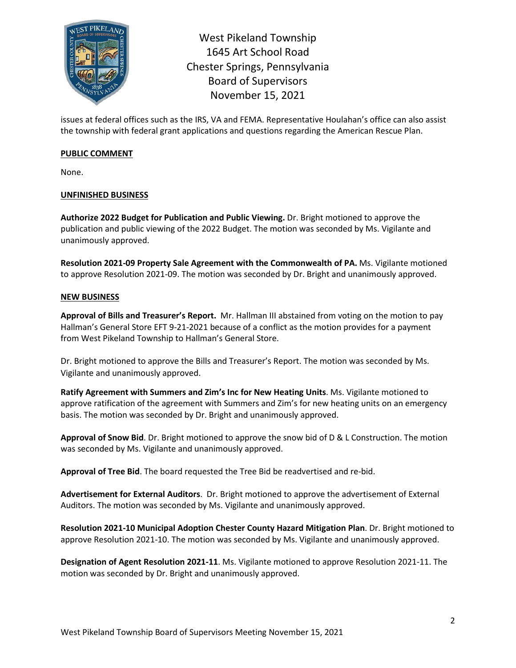

West Pikeland Township 1645 Art School Road Chester Springs, Pennsylvania Board of Supervisors November 15, 2021

issues at federal offices such as the IRS, VA and FEMA. Representative Houlahan's office can also assist the township with federal grant applications and questions regarding the American Rescue Plan.

## **PUBLIC COMMENT**

None.

# **UNFINISHED BUSINESS**

**Authorize 2022 Budget for Publication and Public Viewing.** Dr. Bright motioned to approve the publication and public viewing of the 2022 Budget. The motion was seconded by Ms. Vigilante and unanimously approved.

**Resolution 2021-09 Property Sale Agreement with the Commonwealth of PA.** Ms. Vigilante motioned to approve Resolution 2021-09. The motion was seconded by Dr. Bright and unanimously approved.

# **NEW BUSINESS**

**Approval of Bills and Treasurer's Report.** Mr. Hallman III abstained from voting on the motion to pay Hallman's General Store EFT 9-21-2021 because of a conflict as the motion provides for a payment from West Pikeland Township to Hallman's General Store.

Dr. Bright motioned to approve the Bills and Treasurer's Report. The motion was seconded by Ms. Vigilante and unanimously approved.

**Ratify Agreement with Summers and Zim's Inc for New Heating Units**. Ms. Vigilante motioned to approve ratification of the agreement with Summers and Zim's for new heating units on an emergency basis. The motion was seconded by Dr. Bright and unanimously approved.

**Approval of Snow Bid**. Dr. Bright motioned to approve the snow bid of D & L Construction. The motion was seconded by Ms. Vigilante and unanimously approved.

**Approval of Tree Bid**. The board requested the Tree Bid be readvertised and re-bid.

**Advertisement for External Auditors**. Dr. Bright motioned to approve the advertisement of External Auditors. The motion was seconded by Ms. Vigilante and unanimously approved.

**Resolution 2021-10 Municipal Adoption Chester County Hazard Mitigation Plan**. Dr. Bright motioned to approve Resolution 2021-10. The motion was seconded by Ms. Vigilante and unanimously approved.

**Designation of Agent Resolution 2021-11**. Ms. Vigilante motioned to approve Resolution 2021-11. The motion was seconded by Dr. Bright and unanimously approved.